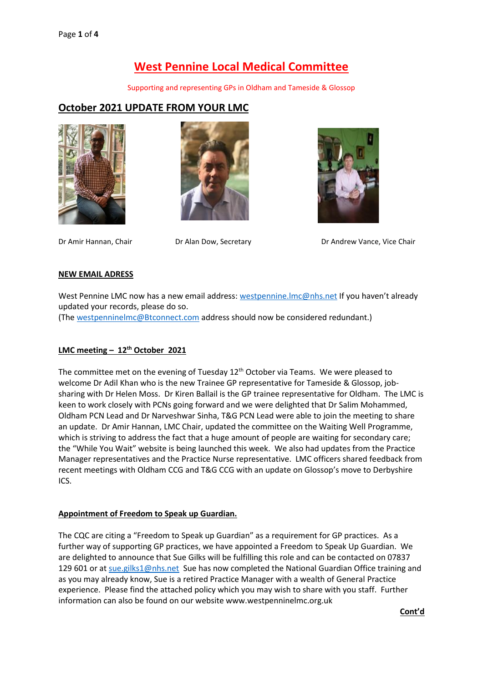# **West Pennine Local Medical Committee**

Supporting and representing GPs in Oldham and Tameside & Glossop

# **October 2021 UPDATE FROM YOUR LMC**







Dr Amir Hannan, Chair **Dr Alan Dow, Secretary Chair** Dr Andrew Vance, Vice Chair

#### **NEW EMAIL ADRESS**

West Pennine LMC now has a new email address[: westpennine.lmc@nhs.net](mailto:westpennine.lmc@nhs.net) If you haven't already updated your records, please do so.

(Th[e westpenninelmc@Btconnect.com](mailto:westpenninelmc@Btconnect.com) address should now be considered redundant.)

## **LMC meeting – 12th October 2021**

The committee met on the evening of Tuesday 12<sup>th</sup> October via Teams. We were pleased to welcome Dr Adil Khan who is the new Trainee GP representative for Tameside & Glossop, jobsharing with Dr Helen Moss. Dr Kiren Ballail is the GP trainee representative for Oldham. The LMC is keen to work closely with PCNs going forward and we were delighted that Dr Salim Mohammed, Oldham PCN Lead and Dr Narveshwar Sinha, T&G PCN Lead were able to join the meeting to share an update. Dr Amir Hannan, LMC Chair, updated the committee on the Waiting Well Programme, which is striving to address the fact that a huge amount of people are waiting for secondary care; the "While You Wait" website is being launched this week. We also had updates from the Practice Manager representatives and the Practice Nurse representative. LMC officers shared feedback from recent meetings with Oldham CCG and T&G CCG with an update on Glossop's move to Derbyshire ICS.

#### **Appointment of Freedom to Speak up Guardian.**

The CQC are citing a "Freedom to Speak up Guardian" as a requirement for GP practices. As a further way of supporting GP practices, we have appointed a Freedom to Speak Up Guardian. We are delighted to announce that Sue Gilks will be fulfilling this role and can be contacted on 07837 129 601 or at [sue.gilks1@nhs.net](mailto:sue.gilks1@nhs.net) Sue has now completed the National Guardian Office training and as you may already know, Sue is a retired Practice Manager with a wealth of General Practice experience. Please find the attached policy which you may wish to share with you staff. Further information can also be found on our website www.westpenninelmc.org.uk

**Cont'd**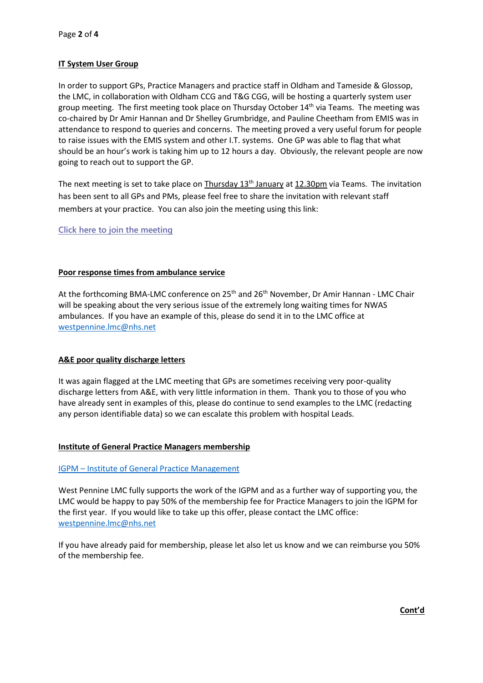#### **IT System User Group**

In order to support GPs, Practice Managers and practice staff in Oldham and Tameside & Glossop, the LMC, in collaboration with Oldham CCG and T&G CGG, will be hosting a quarterly system user group meeting. The first meeting took place on Thursday October  $14<sup>th</sup>$  via Teams. The meeting was co-chaired by Dr Amir Hannan and Dr Shelley Grumbridge, and Pauline Cheetham from EMIS was in attendance to respond to queries and concerns. The meeting proved a very useful forum for people to raise issues with the EMIS system and other I.T. systems. One GP was able to flag that what should be an hour's work is taking him up to 12 hours a day. Obviously, the relevant people are now going to reach out to support the GP.

The next meeting is set to take place on Thursday 13<sup>th</sup> January at 12.30pm via Teams. The invitation has been sent to all GPs and PMs, please feel free to share the invitation with relevant staff members at your practice. You can also join the meeting using this link:

## **[Click here to join the meeting](https://teams.microsoft.com/l/meetup-join/19%3ameeting_YjJiNjI3MzgtYWFiYS00NWRlLTkyYWItYTE0NzFjMTMyOTFm%40thread.v2/0?context=%7b%22Tid%22%3a%2237c354b2-85b0-47f5-b222-07b48d774ee3%22%2c%22Oid%22%3a%222b73c2c4-4d9e-4780-ac71-6a1b9abbc854%22%7d)**

#### **Poor response times from ambulance service**

At the forthcoming BMA-LMC conference on 25<sup>th</sup> and 26<sup>th</sup> November, Dr Amir Hannan - LMC Chair will be speaking about the very serious issue of the extremely long waiting times for NWAS ambulances. If you have an example of this, please do send it in to the LMC office at [westpennine.lmc@nhs.net](mailto:westpennine.lmc@nhs.net)

#### **A&E poor quality discharge letters**

It was again flagged at the LMC meeting that GPs are sometimes receiving very poor-quality discharge letters from A&E, with very little information in them. Thank you to those of you who have already sent in examples of this, please do continue to send examples to the LMC (redacting any person identifiable data) so we can escalate this problem with hospital Leads.

#### **Institute of General Practice Managers membership**

#### IGPM – [Institute of General Practice Management](https://igpm.org.uk/)

West Pennine LMC fully supports the work of the IGPM and as a further way of supporting you, the LMC would be happy to pay 50% of the membership fee for Practice Managers to join the IGPM for the first year. If you would like to take up this offer, please contact the LMC office: [westpennine.lmc@nhs.net](mailto:westpennine.lmc@nhs.net)

If you have already paid for membership, please let also let us know and we can reimburse you 50% of the membership fee.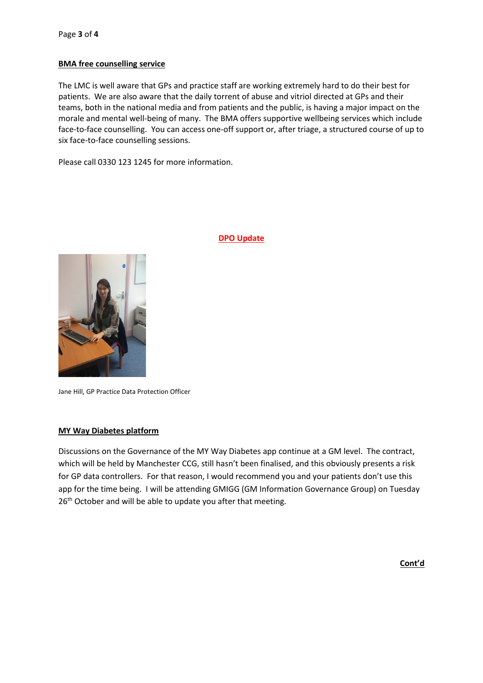#### **BMA free counselling service**

The LMC is well aware that GPs and practice staff are working extremely hard to do their best for patients. We are also aware that the daily torrent of abuse and vitriol directed at GPs and their teams, both in the national media and from patients and the public, is having a major impact on the morale and mental well-being of many. The BMA offers supportive wellbeing services which include face-to-face counselling. You can access one-off support or, after triage, a structured course of up to six face-to-face counselling sessions.

Please call 0330 123 1245 for more information.



#### **DPO Update**

Jane Hill, GP Practice Data Protection Officer

#### **MY Way Diabetes platform**

Discussions on the Governance of the MY Way Diabetes app continue at a GM level. The contract, which will be held by Manchester CCG, still hasn't been finalised, and this obviously presents a risk for GP data controllers. For that reason, I would recommend you and your patients don't use this app for the time being. I will be attending GMIGG (GM Information Governance Group) on Tuesday 26<sup>th</sup> October and will be able to update you after that meeting.

**Cont'd**